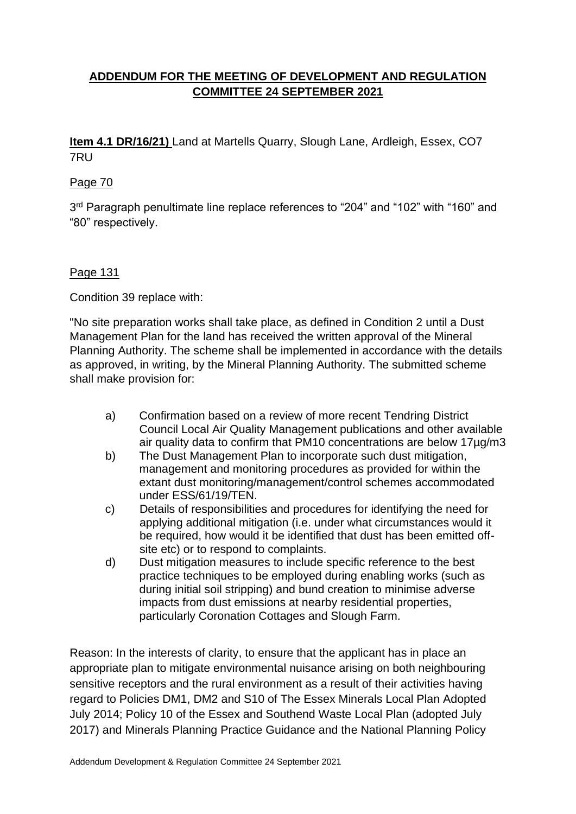# **ADDENDUM FOR THE MEETING OF DEVELOPMENT AND REGULATION COMMITTEE 24 SEPTEMBER 2021**

**Item 4.1 DR/16/21)** Land at Martells Quarry, Slough Lane, Ardleigh, Essex, CO7 7RU

## Page 70

3<sup>rd</sup> Paragraph penultimate line replace references to "204" and "102" with "160" and "80" respectively.

## Page 131

Condition 39 replace with:

"No site preparation works shall take place, as defined in Condition 2 until a Dust Management Plan for the land has received the written approval of the Mineral Planning Authority. The scheme shall be implemented in accordance with the details as approved, in writing, by the Mineral Planning Authority. The submitted scheme shall make provision for:

- a) Confirmation based on a review of more recent Tendring District Council Local Air Quality Management publications and other available air quality data to confirm that PM10 concentrations are below 17µg/m3
- b) The Dust Management Plan to incorporate such dust mitigation, management and monitoring procedures as provided for within the extant dust monitoring/management/control schemes accommodated under ESS/61/19/TEN.
- c) Details of responsibilities and procedures for identifying the need for applying additional mitigation (i.e. under what circumstances would it be required, how would it be identified that dust has been emitted offsite etc) or to respond to complaints.
- d) Dust mitigation measures to include specific reference to the best practice techniques to be employed during enabling works (such as during initial soil stripping) and bund creation to minimise adverse impacts from dust emissions at nearby residential properties, particularly Coronation Cottages and Slough Farm.

Reason: In the interests of clarity, to ensure that the applicant has in place an appropriate plan to mitigate environmental nuisance arising on both neighbouring sensitive receptors and the rural environment as a result of their activities having regard to Policies DM1, DM2 and S10 of The Essex Minerals Local Plan Adopted July 2014; Policy 10 of the Essex and Southend Waste Local Plan (adopted July 2017) and Minerals Planning Practice Guidance and the National Planning Policy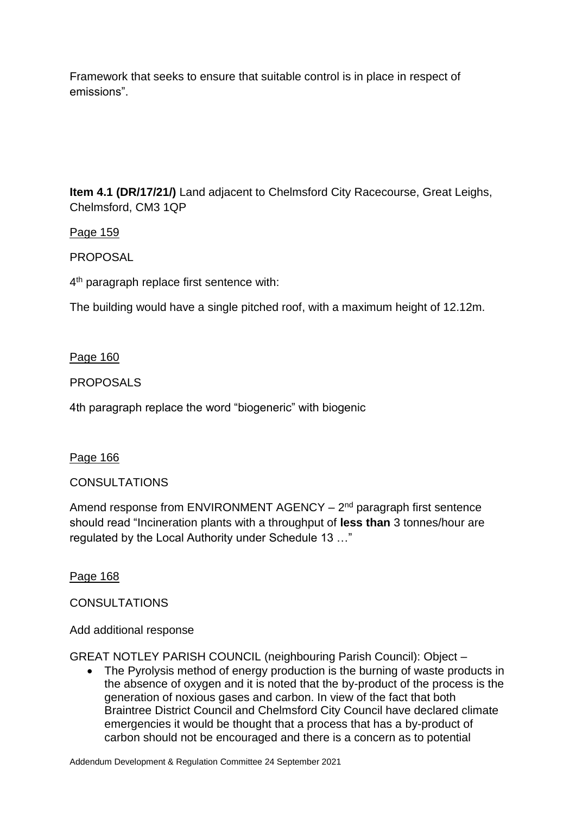Framework that seeks to ensure that suitable control is in place in respect of emissions".

**Item 4.1 (DR/17/21/)** Land adjacent to Chelmsford City Racecourse, Great Leighs, Chelmsford, CM3 1QP

Page 159

PROPOSAL

4<sup>th</sup> paragraph replace first sentence with:

The building would have a single pitched roof, with a maximum height of 12.12m.

## Page 160

PROPOSALS

4th paragraph replace the word "biogeneric" with biogenic

### Page 166

# **CONSULTATIONS**

Amend response from ENVIRONMENT AGENCY - 2<sup>nd</sup> paragraph first sentence should read "Incineration plants with a throughput of **less than** 3 tonnes/hour are regulated by the Local Authority under Schedule 13 …"

Page 168

# **CONSULTATIONS**

### Add additional response

GREAT NOTLEY PARISH COUNCIL (neighbouring Parish Council): Object –

• The Pyrolysis method of energy production is the burning of waste products in the absence of oxygen and it is noted that the by-product of the process is the generation of noxious gases and carbon. In view of the fact that both Braintree District Council and Chelmsford City Council have declared climate emergencies it would be thought that a process that has a by-product of carbon should not be encouraged and there is a concern as to potential

Addendum Development & Regulation Committee 24 September 2021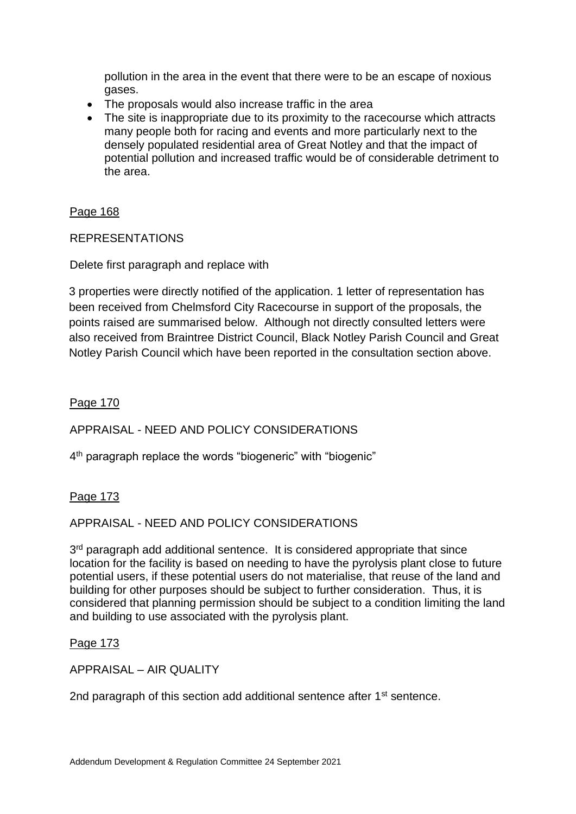pollution in the area in the event that there were to be an escape of noxious gases.

- The proposals would also increase traffic in the area
- The site is inappropriate due to its proximity to the racecourse which attracts many people both for racing and events and more particularly next to the densely populated residential area of Great Notley and that the impact of potential pollution and increased traffic would be of considerable detriment to the area.

Page 168

### REPRESENTATIONS

Delete first paragraph and replace with

3 properties were directly notified of the application. 1 letter of representation has been received from Chelmsford City Racecourse in support of the proposals, the points raised are summarised below. Although not directly consulted letters were also received from Braintree District Council, Black Notley Parish Council and Great Notley Parish Council which have been reported in the consultation section above.

Page 170

### APPRAISAL - NEED AND POLICY CONSIDERATIONS

4<sup>th</sup> paragraph replace the words "biogeneric" with "biogenic"

### Page 173

#### APPRAISAL - NEED AND POLICY CONSIDERATIONS

3<sup>rd</sup> paragraph add additional sentence. It is considered appropriate that since location for the facility is based on needing to have the pyrolysis plant close to future potential users, if these potential users do not materialise, that reuse of the land and building for other purposes should be subject to further consideration. Thus, it is considered that planning permission should be subject to a condition limiting the land and building to use associated with the pyrolysis plant.

#### Page 173

APPRAISAL – AIR QUALITY

2nd paragraph of this section add additional sentence after 1<sup>st</sup> sentence.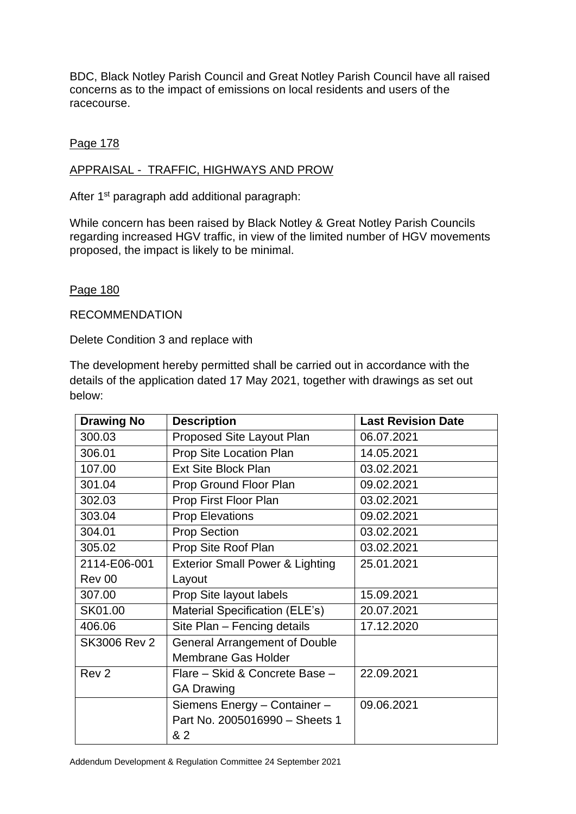BDC, Black Notley Parish Council and Great Notley Parish Council have all raised concerns as to the impact of emissions on local residents and users of the racecourse.

### Page 178

### APPRAISAL - TRAFFIC, HIGHWAYS AND PROW

After 1<sup>st</sup> paragraph add additional paragraph:

While concern has been raised by Black Notley & Great Notley Parish Councils regarding increased HGV traffic, in view of the limited number of HGV movements proposed, the impact is likely to be minimal.

### Page 180

RECOMMENDATION

Delete Condition 3 and replace with

The development hereby permitted shall be carried out in accordance with the details of the application dated 17 May 2021, together with drawings as set out below:

| <b>Drawing No</b>   | <b>Description</b>                         | <b>Last Revision Date</b> |
|---------------------|--------------------------------------------|---------------------------|
| 300.03              | Proposed Site Layout Plan                  | 06.07.2021                |
| 306.01              | Prop Site Location Plan                    | 14.05.2021                |
| 107.00              | <b>Ext Site Block Plan</b>                 | 03.02.2021                |
| 301.04              | Prop Ground Floor Plan                     | 09.02.2021                |
| 302.03              | Prop First Floor Plan                      | 03.02.2021                |
| 303.04              | <b>Prop Elevations</b>                     | 09.02.2021                |
| 304.01              | <b>Prop Section</b>                        | 03.02.2021                |
| 305.02              | Prop Site Roof Plan                        | 03.02.2021                |
| 2114-E06-001        | <b>Exterior Small Power &amp; Lighting</b> | 25.01.2021                |
| Rev 00              | Layout                                     |                           |
| 307.00              | Prop Site layout labels                    | 15.09.2021                |
| SK01.00             | Material Specification (ELE's)             | 20.07.2021                |
| 406.06              | Site Plan - Fencing details                | 17.12.2020                |
| <b>SK3006 Rev 2</b> | <b>General Arrangement of Double</b>       |                           |
|                     | <b>Membrane Gas Holder</b>                 |                           |
| Rev <sub>2</sub>    | Flare - Skid & Concrete Base -             | 22.09.2021                |
|                     | <b>GA Drawing</b>                          |                           |
|                     | Siemens Energy - Container -               | 09.06.2021                |
|                     | Part No. 2005016990 - Sheets 1             |                           |
|                     | & 2                                        |                           |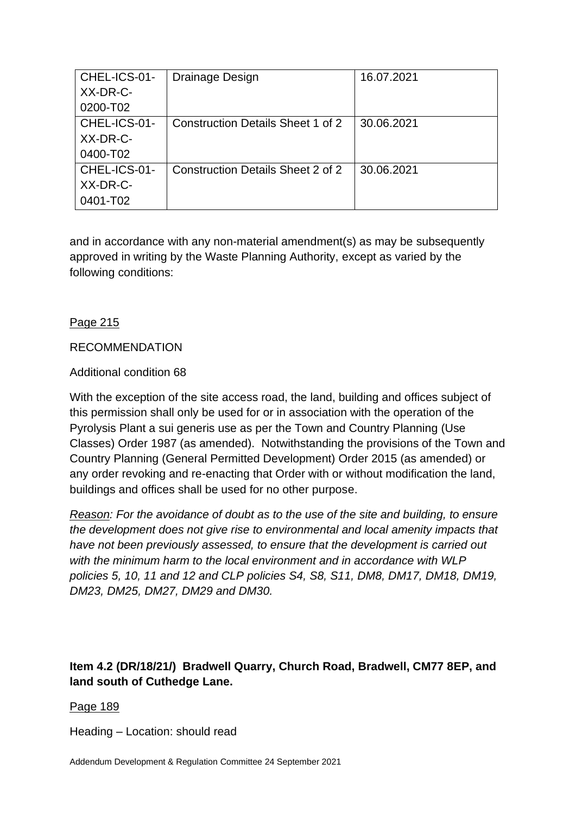| CHEL-ICS-01- | Drainage Design                          | 16.07.2021 |
|--------------|------------------------------------------|------------|
| XX-DR-C-     |                                          |            |
| 0200-T02     |                                          |            |
| CHEL-ICS-01- | Construction Details Sheet 1 of 2        | 30.06.2021 |
| XX-DR-C-     |                                          |            |
| 0400-T02     |                                          |            |
| CHEL-ICS-01- | <b>Construction Details Sheet 2 of 2</b> | 30.06.2021 |
| XX-DR-C-     |                                          |            |
| 0401-T02     |                                          |            |

and in accordance with any non-material amendment(s) as may be subsequently approved in writing by the Waste Planning Authority, except as varied by the following conditions:

## Page 215

### RECOMMENDATION

### Additional condition 68

With the exception of the site access road, the land, building and offices subject of this permission shall only be used for or in association with the operation of the Pyrolysis Plant a sui generis use as per the Town and Country Planning (Use Classes) Order 1987 (as amended). Notwithstanding the provisions of the Town and Country Planning (General Permitted Development) Order 2015 (as amended) or any order revoking and re-enacting that Order with or without modification the land, buildings and offices shall be used for no other purpose.

*Reason: For the avoidance of doubt as to the use of the site and building, to ensure the development does not give rise to environmental and local amenity impacts that have not been previously assessed, to ensure that the development is carried out with the minimum harm to the local environment and in accordance with WLP policies 5, 10, 11 and 12 and CLP policies S4, S8, S11, DM8, DM17, DM18, DM19, DM23, DM25, DM27, DM29 and DM30.*

# **Item 4.2 (DR/18/21/) Bradwell Quarry, Church Road, Bradwell, CM77 8EP, and land south of Cuthedge Lane.**

### Page 189

Heading – Location: should read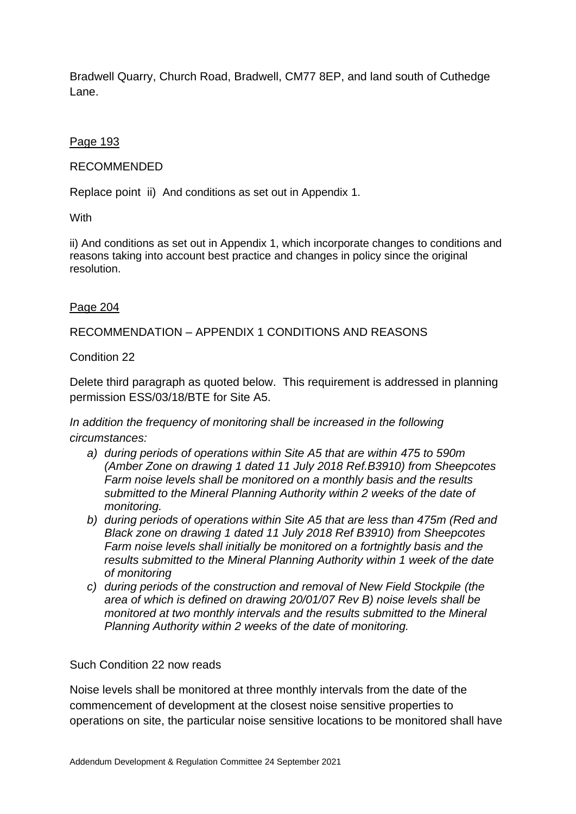Bradwell Quarry, Church Road, Bradwell, CM77 8EP, and land south of Cuthedge Lane.

Page 193

### RECOMMENDED

Replace point ii) And conditions as set out in Appendix 1.

**With** 

ii) And conditions as set out in Appendix 1, which incorporate changes to conditions and reasons taking into account best practice and changes in policy since the original resolution.

### Page 204

RECOMMENDATION – APPENDIX 1 CONDITIONS AND REASONS

### Condition 22

Delete third paragraph as quoted below. This requirement is addressed in planning permission ESS/03/18/BTE for Site A5.

*In addition the frequency of monitoring shall be increased in the following circumstances:*

- *a) during periods of operations within Site A5 that are within 475 to 590m (Amber Zone on drawing 1 dated 11 July 2018 Ref.B3910) from Sheepcotes Farm noise levels shall be monitored on a monthly basis and the results submitted to the Mineral Planning Authority within 2 weeks of the date of monitoring.*
- *b) during periods of operations within Site A5 that are less than 475m (Red and Black zone on drawing 1 dated 11 July 2018 Ref B3910) from Sheepcotes Farm noise levels shall initially be monitored on a fortnightly basis and the results submitted to the Mineral Planning Authority within 1 week of the date of monitoring*
- *c) during periods of the construction and removal of New Field Stockpile (the area of which is defined on drawing 20/01/07 Rev B) noise levels shall be monitored at two monthly intervals and the results submitted to the Mineral Planning Authority within 2 weeks of the date of monitoring.*

### Such Condition 22 now reads

Noise levels shall be monitored at three monthly intervals from the date of the commencement of development at the closest noise sensitive properties to operations on site, the particular noise sensitive locations to be monitored shall have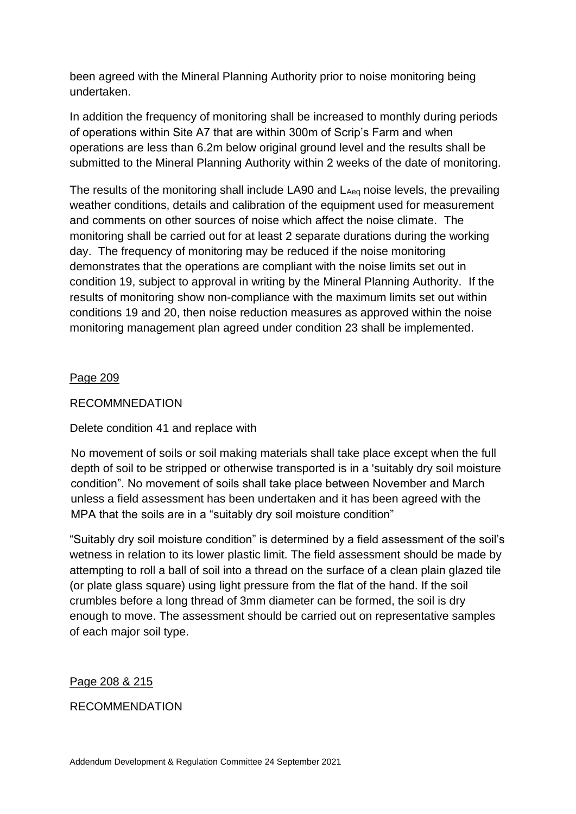been agreed with the Mineral Planning Authority prior to noise monitoring being undertaken.

In addition the frequency of monitoring shall be increased to monthly during periods of operations within Site A7 that are within 300m of Scrip's Farm and when operations are less than 6.2m below original ground level and the results shall be submitted to the Mineral Planning Authority within 2 weeks of the date of monitoring.

The results of the monitoring shall include LA90 and LAeq noise levels, the prevailing weather conditions, details and calibration of the equipment used for measurement and comments on other sources of noise which affect the noise climate. The monitoring shall be carried out for at least 2 separate durations during the working day. The frequency of monitoring may be reduced if the noise monitoring demonstrates that the operations are compliant with the noise limits set out in condition 19, subject to approval in writing by the Mineral Planning Authority. If the results of monitoring show non-compliance with the maximum limits set out within conditions 19 and 20, then noise reduction measures as approved within the noise monitoring management plan agreed under condition 23 shall be implemented.

### Page 209

### RECOMMNEDATION

# Delete condition 41 and replace with

No movement of soils or soil making materials shall take place except when the full depth of soil to be stripped or otherwise transported is in a 'suitably dry soil moisture condition". No movement of soils shall take place between November and March unless a field assessment has been undertaken and it has been agreed with the MPA that the soils are in a "suitably dry soil moisture condition"

"Suitably dry soil moisture condition" is determined by a field assessment of the soil's wetness in relation to its lower plastic limit. The field assessment should be made by attempting to roll a ball of soil into a thread on the surface of a clean plain glazed tile (or plate glass square) using light pressure from the flat of the hand. If the soil crumbles before a long thread of 3mm diameter can be formed, the soil is dry enough to move. The assessment should be carried out on representative samples of each major soil type.

### Page 208 & 215

### RECOMMENDATION